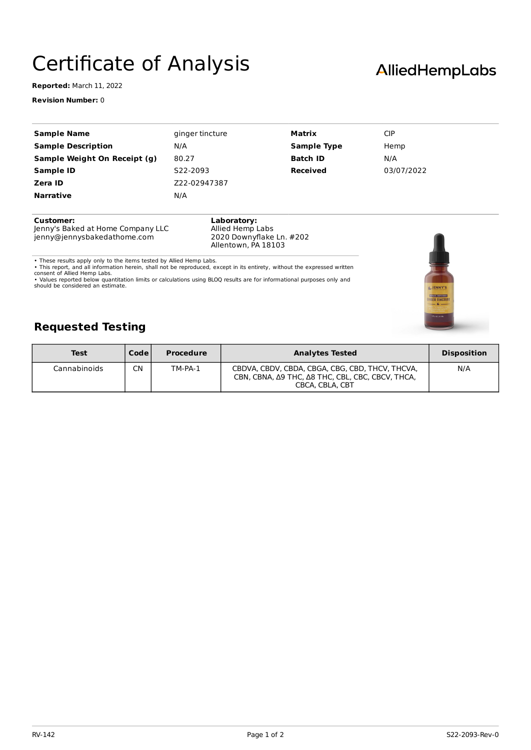## Certificate of Analysis

**Reported:** March 11, 2022

**Revision Number:** 0

| <b>Sample Name</b>           | ginger tincture | Matrix             | <b>CIP</b> |  |
|------------------------------|-----------------|--------------------|------------|--|
| <b>Sample Description</b>    | N/A             | <b>Sample Type</b> | Hemp       |  |
| Sample Weight On Receipt (g) | 80.27           | <b>Batch ID</b>    | N/A        |  |
| Sample ID                    | S22-2093        | <b>Received</b>    | 03/07/2022 |  |
| Zera ID                      | Z22-02947387    |                    |            |  |
| <b>Narrative</b>             | N/A             |                    |            |  |
| <b>Customer:</b>             | Laboratorv:     |                    |            |  |

Jenny's Baked at Home Company LLC jenny@jennysbakedathome.com

**Laboratory:** Allied Hemp Labs 2020 Downyflake Ln. #202 Allentown, PA 18103

• These results apply only to the items tested by Allied Hemp Labs.<br>• This report, and all information herein, shall not be reproduced, except in its entirety, without the expressed written<br>consent of Allied Hemp Labs.<br>• V

should be considered an estimate.



## **Requested Testing**

| <b>Test</b>  | Code l | <b>Procedure</b> | <b>Analytes Tested</b>                                                                                                 | <b>Disposition</b> |
|--------------|--------|------------------|------------------------------------------------------------------------------------------------------------------------|--------------------|
| Cannabinoids | CΝ     | TM-PA-1          | CBDVA, CBDV, CBDA, CBGA, CBG, CBD, THCV, THCVA,<br>CBN, CBNA, Δ9 THC, Δ8 THC, CBL, CBC, CBCV, THCA,<br>CBCA, CBLA, CBT | N/A                |